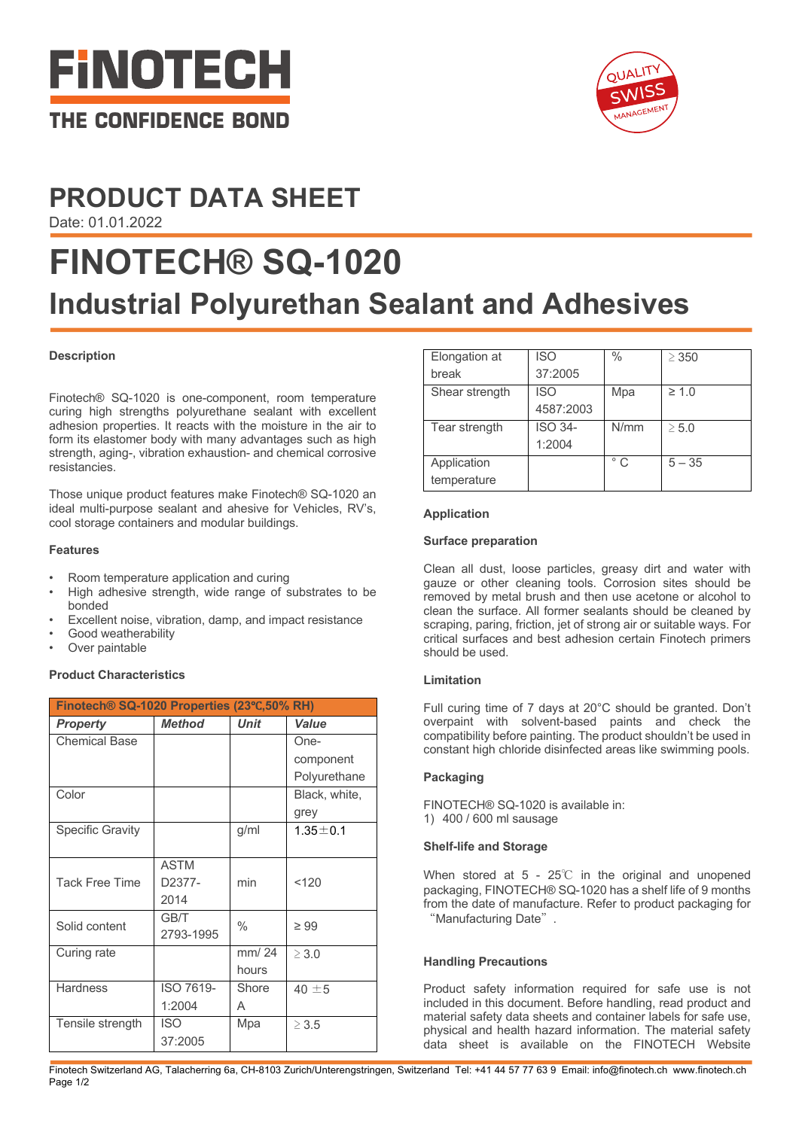



# **PRODUCT DATA SHEET**

Date: 01.01.2022

# **FINOTECH® SQ-1020 Industrial Polyurethan Sealant and Adhesives**

## **Description**

Finotech® SQ-1020 is one-component, room temperature curing high strengths polyurethane sealant with excellent adhesion properties. It reacts with the moisture in the air to form its elastomer body with many advantages such as high strength, aging-, vibration exhaustion- and chemical corrosive resistancies.

Those unique product features make Finotech® SQ-1020 an ideal multi-purpose sealant and ahesive for Vehicles, RV's, cool storage containers and modular buildings.

### **Features**

- Room temperature application and curing
- High adhesive strength, wide range of substrates to be bonded
- Excellent noise, vibration, damp, and impact resistance
- Good weatherability
- Over paintable

### **Product Characteristics**

| Finotech® SQ-1020 Properties (23°C,50% RH) |               |             |                |  |
|--------------------------------------------|---------------|-------------|----------------|--|
| <b>Property</b>                            | <b>Method</b> | <b>Unit</b> | Value          |  |
| <b>Chemical Base</b>                       |               |             | One-           |  |
|                                            |               |             | component      |  |
|                                            |               |             | Polyurethane   |  |
| Color                                      |               |             | Black, white,  |  |
|                                            |               |             | grey           |  |
| <b>Specific Gravity</b>                    |               | g/ml        | $1.35 \pm 0.1$ |  |
|                                            |               |             |                |  |
|                                            | <b>ASTM</b>   |             |                |  |
| <b>Tack Free Time</b>                      | D2377-        | min         | < 120          |  |
|                                            | 2014          |             |                |  |
| Solid content                              | GB/T          | $\%$        | $\geq 99$      |  |
|                                            | 2793-1995     |             |                |  |
| Curing rate                                |               | mm/24       | $\geq 3.0$     |  |
|                                            |               | hours       |                |  |
| <b>Hardness</b>                            | ISO 7619-     | Shore       | 40 $\pm$ 5     |  |
|                                            | 1:2004        | A           |                |  |
| Tensile strength                           | <b>ISO</b>    | Mpa         | $\geq 3.5$     |  |
|                                            | 37:2005       |             |                |  |

| Elongation at  | <b>ISO</b>     | $\frac{0}{0}$ | $\geq$ 350 |
|----------------|----------------|---------------|------------|
| break          | 37:2005        |               |            |
| Shear strength | <b>ISO</b>     | Mpa           | $\geq 1.0$ |
|                | 4587:2003      |               |            |
| Tear strength  | <b>ISO 34-</b> | N/mm          | $\geq 5.0$ |
|                | 1:2004         |               |            |
| Application    |                | $^{\circ}$ C  | $5 - 35$   |
| temperature    |                |               |            |

### **Application**

### **Surface preparation**

Clean all dust, loose particles, greasy dirt and water with gauze or other cleaning tools. Corrosion sites should be removed by metal brush and then use acetone or alcohol to clean the surface. All former sealants should be cleaned by scraping, paring, friction, jet of strong air or suitable ways. For critical surfaces and best adhesion certain Finotech primers should be used.

### **Limitation**

Full curing time of 7 days at 20°C should be granted. Don't overpaint with solvent-based paints and check the compatibility before painting. The product shouldn't be used in constant high chloride disinfected areas like swimming pools.

### **Packaging**

FINOTECH® SQ-1020 is available in: 1) 400 / 600 ml sausage

#### **Shelf-life and Storage**

When stored at 5 - 25℃ in the original and unopened packaging, FINOTECH® SQ-1020 has a shelf life of 9 months from the date of manufacture. Refer to product packaging for "Manufacturing Date".

### **Handling Precautions**

Product safety information required for safe use is not included in this document. Before handling, read product and material safety data sheets and container labels for safe use, physical and health hazard information. The material safety data sheet is available on the FINOTECH Website

Finotech Switzerland AG, Talacherring 6a, CH-8103 Zurich/Unterengstringen, Switzerland Tel: +41 44 57 77 63 9 Email: info@finotech.ch www.finotech.ch Page 1/2